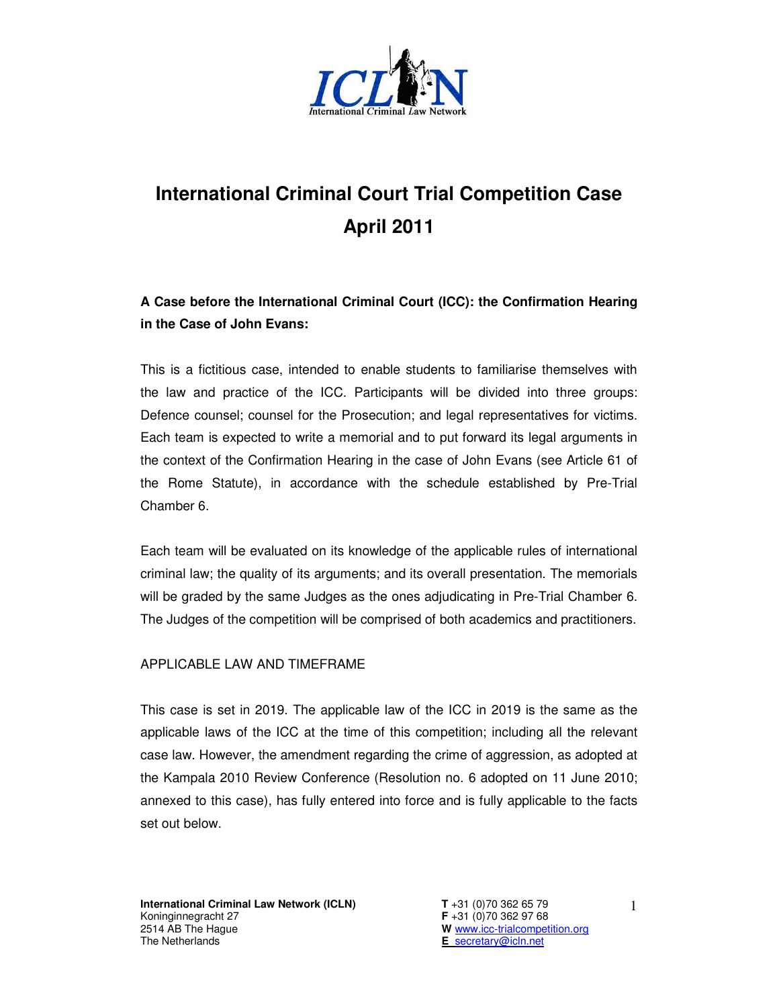

## **International Criminal Court Trial Competition Case April 2011**

**A Case before the International Criminal Court (ICC): the Confirmation Hearing in the Case of John Evans:** 

This is a fictitious case, intended to enable students to familiarise themselves with the law and practice of the ICC. Participants will be divided into three groups: Defence counsel; counsel for the Prosecution; and legal representatives for victims. Each team is expected to write a memorial and to put forward its legal arguments in the context of the Confirmation Hearing in the case of John Evans (see Article 61 of the Rome Statute), in accordance with the schedule established by Pre-Trial Chamber 6.

Each team will be evaluated on its knowledge of the applicable rules of international criminal law; the quality of its arguments; and its overall presentation. The memorials will be graded by the same Judges as the ones adjudicating in Pre-Trial Chamber 6. The Judges of the competition will be comprised of both academics and practitioners.

## APPLICABLE LAW AND TIMEFRAME

This case is set in 2019. The applicable law of the ICC in 2019 is the same as the applicable laws of the ICC at the time of this competition; including all the relevant case law. However, the amendment regarding the crime of aggression, as adopted at the Kampala 2010 Review Conference (Resolution no. 6 adopted on 11 June 2010; annexed to this case), has fully entered into force and is fully applicable to the facts set out below.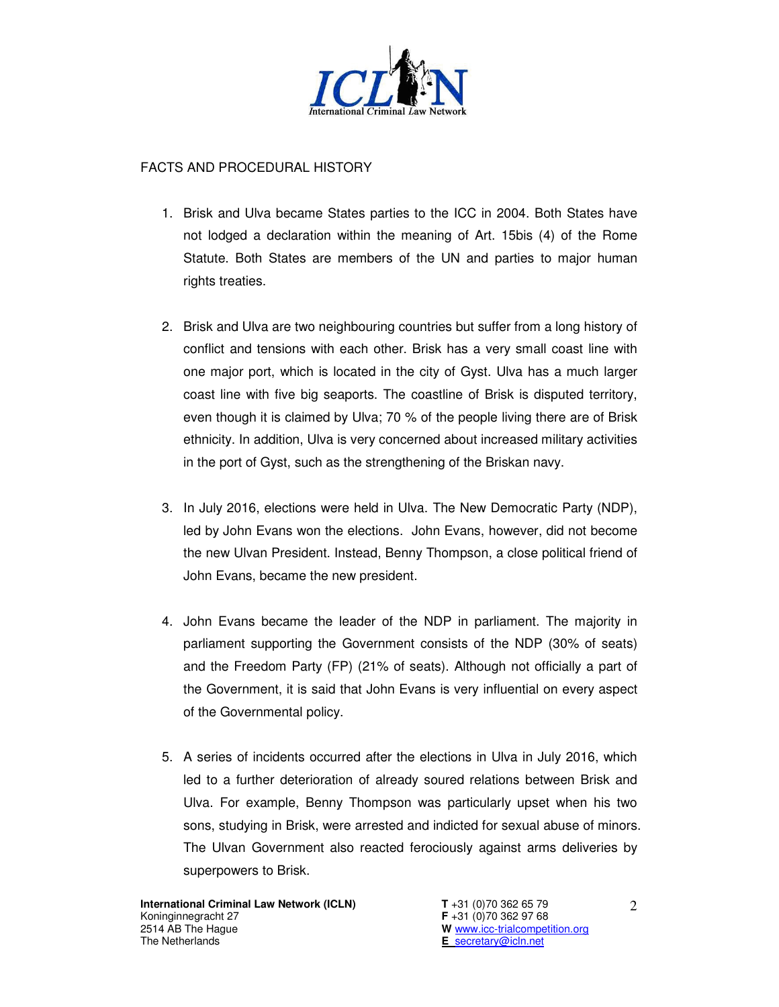

## FACTS AND PROCEDURAL HISTORY

- 1. Brisk and Ulva became States parties to the ICC in 2004. Both States have not lodged a declaration within the meaning of Art. 15bis (4) of the Rome Statute. Both States are members of the UN and parties to major human rights treaties.
- 2. Brisk and Ulva are two neighbouring countries but suffer from a long history of conflict and tensions with each other. Brisk has a very small coast line with one major port, which is located in the city of Gyst. Ulva has a much larger coast line with five big seaports. The coastline of Brisk is disputed territory, even though it is claimed by Ulva; 70 % of the people living there are of Brisk ethnicity. In addition, Ulva is very concerned about increased military activities in the port of Gyst, such as the strengthening of the Briskan navy.
- 3. In July 2016, elections were held in Ulva. The New Democratic Party (NDP), led by John Evans won the elections. John Evans, however, did not become the new Ulvan President. Instead, Benny Thompson, a close political friend of John Evans, became the new president.
- 4. John Evans became the leader of the NDP in parliament. The majority in parliament supporting the Government consists of the NDP (30% of seats) and the Freedom Party (FP) (21% of seats). Although not officially a part of the Government, it is said that John Evans is very influential on every aspect of the Governmental policy.
- 5. A series of incidents occurred after the elections in Ulva in July 2016, which led to a further deterioration of already soured relations between Brisk and Ulva. For example, Benny Thompson was particularly upset when his two sons, studying in Brisk, were arrested and indicted for sexual abuse of minors. The Ulvan Government also reacted ferociously against arms deliveries by superpowers to Brisk.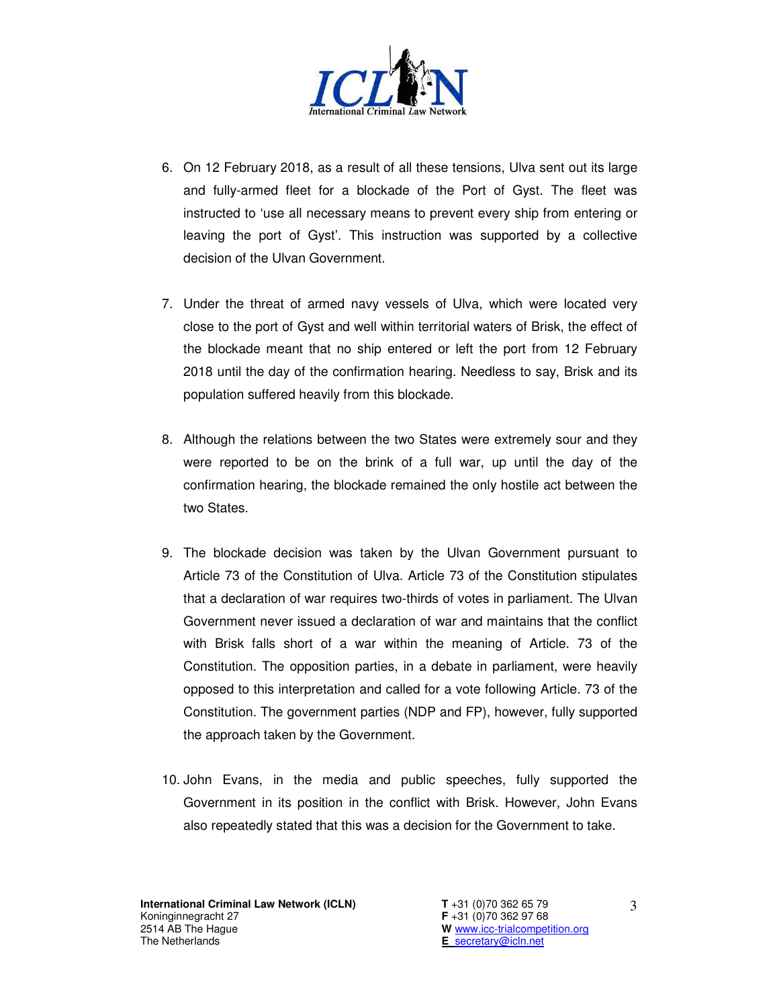

- 6. On 12 February 2018, as a result of all these tensions, Ulva sent out its large and fully-armed fleet for a blockade of the Port of Gyst. The fleet was instructed to 'use all necessary means to prevent every ship from entering or leaving the port of Gyst'. This instruction was supported by a collective decision of the Ulvan Government.
- 7. Under the threat of armed navy vessels of Ulva, which were located very close to the port of Gyst and well within territorial waters of Brisk, the effect of the blockade meant that no ship entered or left the port from 12 February 2018 until the day of the confirmation hearing. Needless to say, Brisk and its population suffered heavily from this blockade.
- 8. Although the relations between the two States were extremely sour and they were reported to be on the brink of a full war, up until the day of the confirmation hearing, the blockade remained the only hostile act between the two States.
- 9. The blockade decision was taken by the Ulvan Government pursuant to Article 73 of the Constitution of Ulva. Article 73 of the Constitution stipulates that a declaration of war requires two-thirds of votes in parliament. The Ulvan Government never issued a declaration of war and maintains that the conflict with Brisk falls short of a war within the meaning of Article. 73 of the Constitution. The opposition parties, in a debate in parliament, were heavily opposed to this interpretation and called for a vote following Article. 73 of the Constitution. The government parties (NDP and FP), however, fully supported the approach taken by the Government.
- 10. John Evans, in the media and public speeches, fully supported the Government in its position in the conflict with Brisk. However, John Evans also repeatedly stated that this was a decision for the Government to take.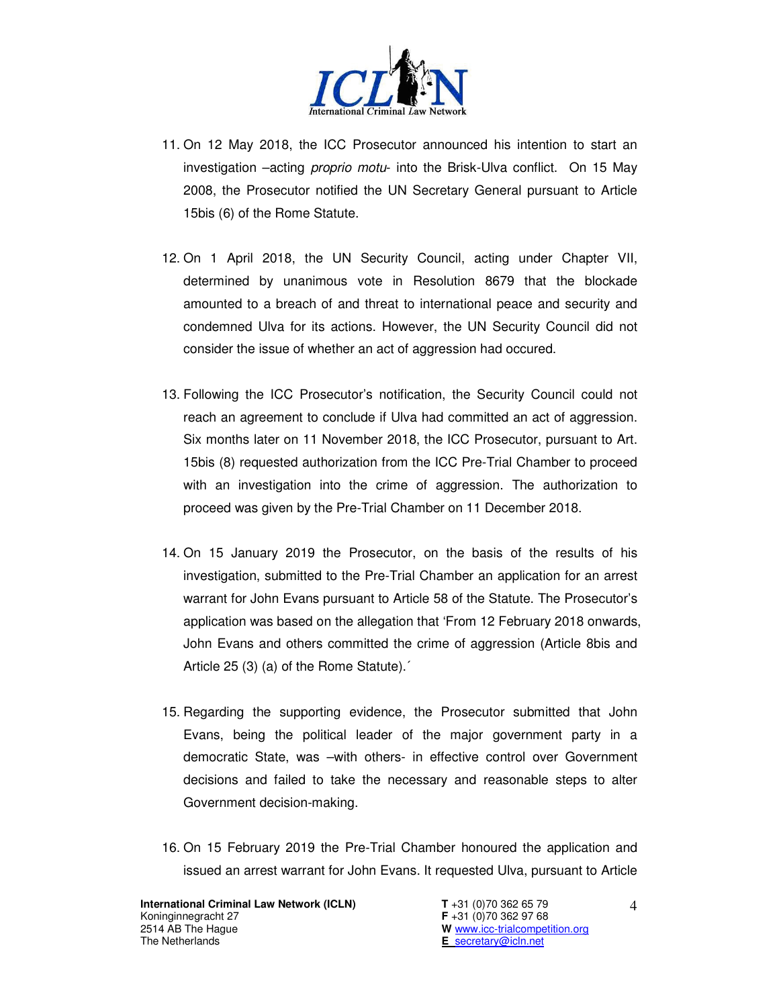

- 11. On 12 May 2018, the ICC Prosecutor announced his intention to start an investigation –acting proprio motu- into the Brisk-Ulva conflict. On 15 May 2008, the Prosecutor notified the UN Secretary General pursuant to Article 15bis (6) of the Rome Statute.
- 12. On 1 April 2018, the UN Security Council, acting under Chapter VII, determined by unanimous vote in Resolution 8679 that the blockade amounted to a breach of and threat to international peace and security and condemned Ulva for its actions. However, the UN Security Council did not consider the issue of whether an act of aggression had occured.
- 13. Following the ICC Prosecutor's notification, the Security Council could not reach an agreement to conclude if Ulva had committed an act of aggression. Six months later on 11 November 2018, the ICC Prosecutor, pursuant to Art. 15bis (8) requested authorization from the ICC Pre-Trial Chamber to proceed with an investigation into the crime of aggression. The authorization to proceed was given by the Pre-Trial Chamber on 11 December 2018.
- 14. On 15 January 2019 the Prosecutor, on the basis of the results of his investigation, submitted to the Pre-Trial Chamber an application for an arrest warrant for John Evans pursuant to Article 58 of the Statute. The Prosecutor's application was based on the allegation that 'From 12 February 2018 onwards, John Evans and others committed the crime of aggression (Article 8bis and Article 25 (3) (a) of the Rome Statute).´
- 15. Regarding the supporting evidence, the Prosecutor submitted that John Evans, being the political leader of the major government party in a democratic State, was –with others- in effective control over Government decisions and failed to take the necessary and reasonable steps to alter Government decision-making.
- 16. On 15 February 2019 the Pre-Trial Chamber honoured the application and issued an arrest warrant for John Evans. It requested Ulva, pursuant to Article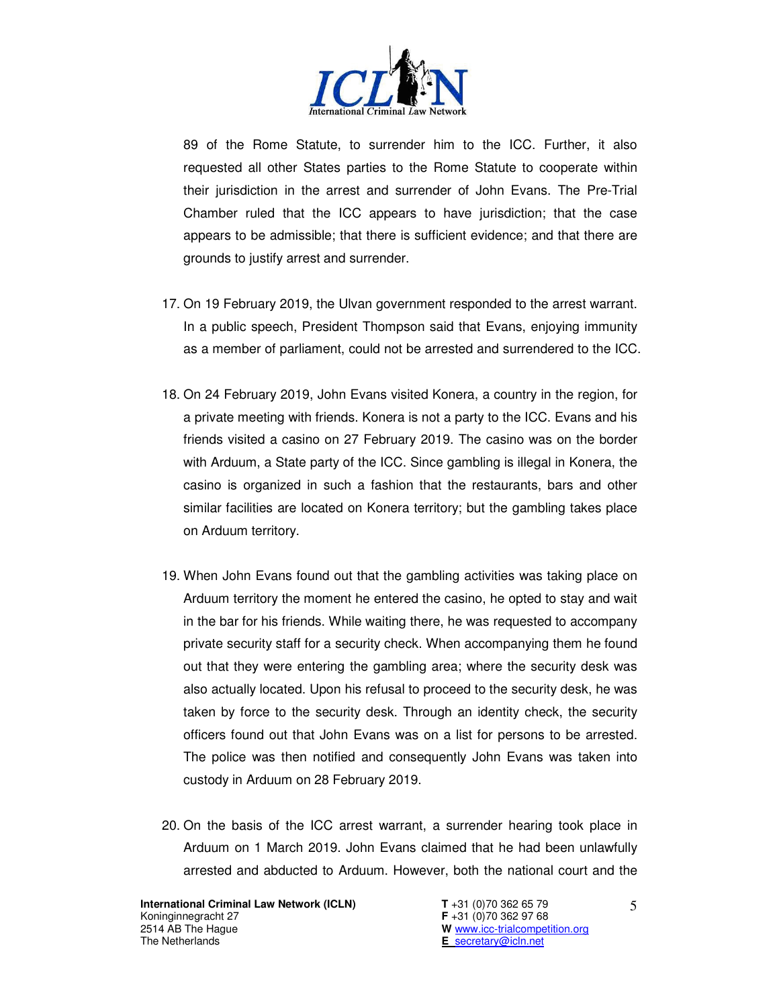

89 of the Rome Statute, to surrender him to the ICC. Further, it also requested all other States parties to the Rome Statute to cooperate within their jurisdiction in the arrest and surrender of John Evans. The Pre-Trial Chamber ruled that the ICC appears to have jurisdiction; that the case appears to be admissible; that there is sufficient evidence; and that there are grounds to justify arrest and surrender.

- 17. On 19 February 2019, the Ulvan government responded to the arrest warrant. In a public speech, President Thompson said that Evans, enjoying immunity as a member of parliament, could not be arrested and surrendered to the ICC.
- 18. On 24 February 2019, John Evans visited Konera, a country in the region, for a private meeting with friends. Konera is not a party to the ICC. Evans and his friends visited a casino on 27 February 2019. The casino was on the border with Arduum, a State party of the ICC. Since gambling is illegal in Konera, the casino is organized in such a fashion that the restaurants, bars and other similar facilities are located on Konera territory; but the gambling takes place on Arduum territory.
- 19. When John Evans found out that the gambling activities was taking place on Arduum territory the moment he entered the casino, he opted to stay and wait in the bar for his friends. While waiting there, he was requested to accompany private security staff for a security check. When accompanying them he found out that they were entering the gambling area; where the security desk was also actually located. Upon his refusal to proceed to the security desk, he was taken by force to the security desk. Through an identity check, the security officers found out that John Evans was on a list for persons to be arrested. The police was then notified and consequently John Evans was taken into custody in Arduum on 28 February 2019.
- 20. On the basis of the ICC arrest warrant, a surrender hearing took place in Arduum on 1 March 2019. John Evans claimed that he had been unlawfully arrested and abducted to Arduum. However, both the national court and the

**International Criminal Law Network (ICLN) T** +31 (0)70 362 65 79 Koninginnegracht 27 **F** +31 (0)70 362 97 68 2514 AB The Hague<br>
The Netherlands<br>
The Netherlands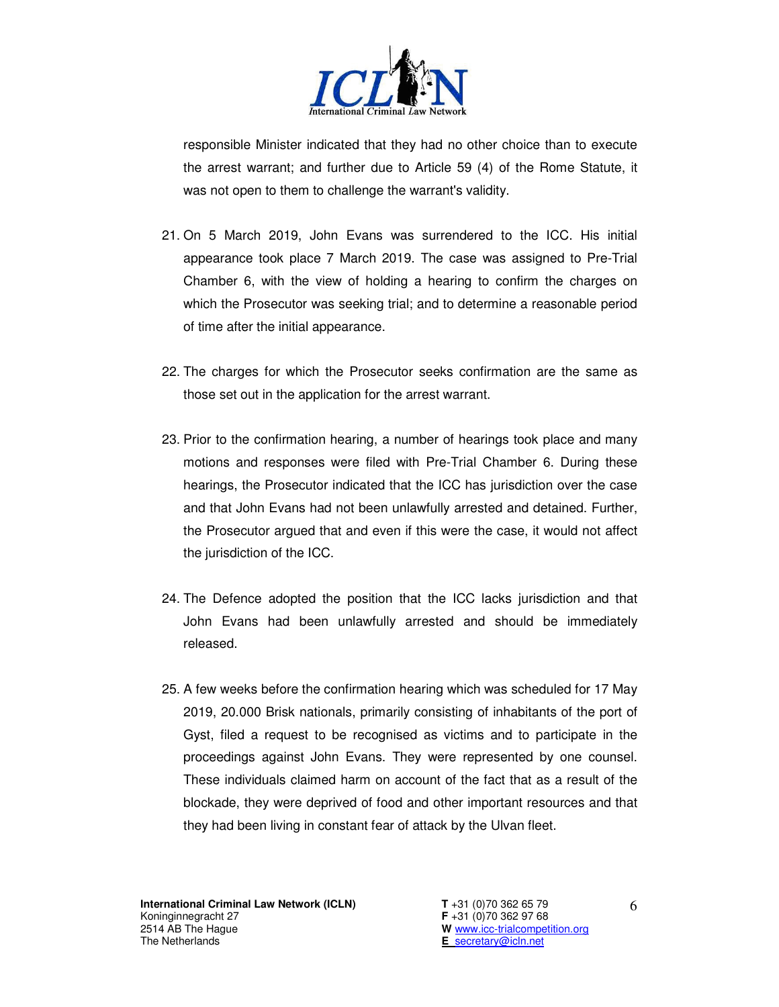

responsible Minister indicated that they had no other choice than to execute the arrest warrant; and further due to Article 59 (4) of the Rome Statute, it was not open to them to challenge the warrant's validity.

- 21. On 5 March 2019, John Evans was surrendered to the ICC. His initial appearance took place 7 March 2019. The case was assigned to Pre-Trial Chamber 6, with the view of holding a hearing to confirm the charges on which the Prosecutor was seeking trial; and to determine a reasonable period of time after the initial appearance.
- 22. The charges for which the Prosecutor seeks confirmation are the same as those set out in the application for the arrest warrant.
- 23. Prior to the confirmation hearing, a number of hearings took place and many motions and responses were filed with Pre-Trial Chamber 6. During these hearings, the Prosecutor indicated that the ICC has jurisdiction over the case and that John Evans had not been unlawfully arrested and detained. Further, the Prosecutor argued that and even if this were the case, it would not affect the jurisdiction of the ICC.
- 24. The Defence adopted the position that the ICC lacks jurisdiction and that John Evans had been unlawfully arrested and should be immediately released.
- 25. A few weeks before the confirmation hearing which was scheduled for 17 May 2019, 20.000 Brisk nationals, primarily consisting of inhabitants of the port of Gyst, filed a request to be recognised as victims and to participate in the proceedings against John Evans. They were represented by one counsel. These individuals claimed harm on account of the fact that as a result of the blockade, they were deprived of food and other important resources and that they had been living in constant fear of attack by the Ulvan fleet.